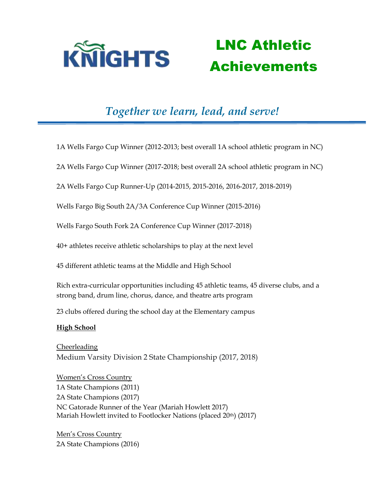

### LNC Athletic Achievements

### *Together we learn, lead, and serve!*

1A Wells Fargo Cup Winner (2012-2013; best overall 1A school athletic program in NC)

2A Wells Fargo Cup Winner (2017-2018; best overall 2A school athletic program in NC)

2A Wells Fargo Cup Runner-Up (2014-2015, 2015-2016, 2016-2017, 2018-2019)

Wells Fargo Big South 2A/3A Conference Cup Winner (2015-2016)

Wells Fargo South Fork 2A Conference Cup Winner (2017-2018)

40+ athletes receive athletic scholarships to play at the next level

45 different athletic teams at the Middle and High School

Rich extra-curricular opportunities including 45 athletic teams, 45 diverse clubs, and a strong band, drum line, chorus, dance, and theatre arts program

23 clubs offered during the school day at the Elementary campus

#### **High School**

Cheerleading Medium Varsity Division 2 State Championship (2017, 2018)

Women's Cross Country 1A State Champions (2011) 2A State Champions (2017) NC Gatorade Runner of the Year (Mariah Howlett 2017) Mariah Howlett invited to Footlocker Nations (placed 20th) (2017)

Men's Cross Country 2A State Champions (2016)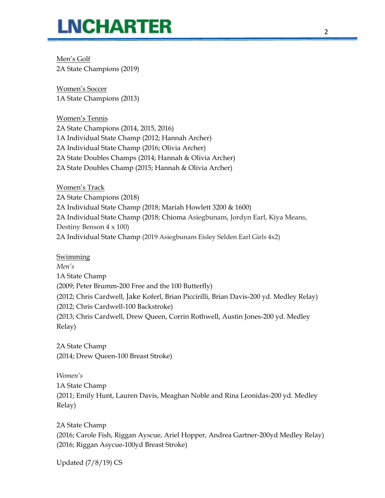## **LNCHARTER**

Men's Golf 2A State Champions (2019)

Women's Soccer 1A State Champions (2013)

Women's Tennis 2A State Champions (2014, 2015, 2016) 1A Individual State Champ (2012; Hannah Archer) 2A Individual State Champ (2016; Olivia Archer) 2A State Doubles Champs (2014; Hannah & Olivia Archer) 2A State Doubles Champ (2015; Hannah & Olivia Archer)

Women's Track 2A State Champions (2018) 2A Individual State Champ (2018; Mariah Howlett 3200 & 1600) 2A Individual State Champ (2018; Chioma Asiegbunam, Jordyn Earl, Kiya Means, Destiny Benson 4 x 100) 2A Individual State Champ (2019 Asiegbunam Eisley Selden Earl Girls 4x2)

Swimming

*Men's* 1A State Champ (2009; Peter Brumm-200 Free and the 100 Butterfly) (2012; Chris Cardwell, Jake Koferl, Brian Piccirilli, Brian Davis-200 yd. Medley Relay) (2012; Chris Cardwell-100 Backstroke) (2013; Chris Cardwell, Drew Queen, Corrin Rothwell, Austin Jones-200 yd. Medley Relay)

2A State Champ (2014; Drew Queen-100 Breast Stroke)

*Women's* 1A State Champ (2011; Emily Hunt, Lauren Davis, Meaghan Noble and Rina Leonidas-200 yd. Medley Relay)

2A State Champ (2016; Carole Fish, Riggan Ayscue, Ariel Hopper, Andrea Gartner-200yd Medley Relay) (2016; Riggan Asycue-100yd Breast Stroke)

Updated (7/8/19) CS